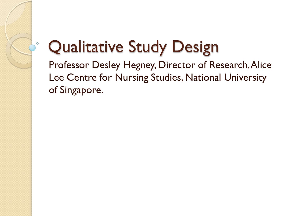#### Qualitative Study Design

Professor Desley Hegney, Director of Research, Alice Lee Centre for Nursing Studies, National University of Singapore.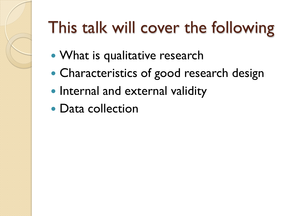# This talk will cover the following

- What is qualitative research
- Characteristics of good research design
- Internal and external validity
- Data collection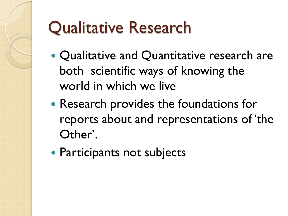# Qualitative Research

- Qualitative and Quantitative research are both scientific ways of knowing the world in which we live
- Research provides the foundations for reports about and representations of "the Other'.
- Participants not subjects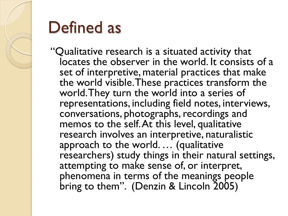

#### Defined as

"Qualitative research is a situated activity that locates the observer in the world. It consists of a set of interpretive, material practices that make the world visible. These practices transform the world. They turn the world into a series of representations, including field notes, interviews, conversations, photographs, recordings and memos to the self. At this level, qualitative research involves an interpretive, naturalistic approach to the world. … (qualitative researchers) study things in their natural settings, attempting to make sense of, or interpret, phenomena in terms of the meanings people bring to them". (Denzin & Lincoln 2005)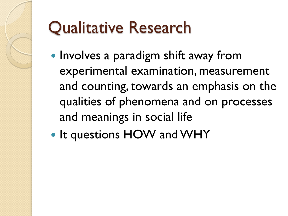# Qualitative Research

- Involves a paradigm shift away from experimental examination, measurement and counting, towards an emphasis on the qualities of phenomena and on processes and meanings in social life
- It questions HOW and WHY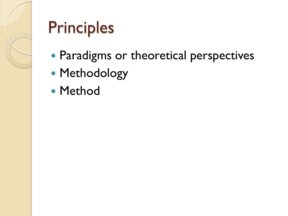

# Principles

- Paradigms or theoretical perspectives
- Methodology
- Method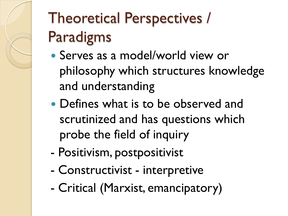# Theoretical Perspectives / Paradigms

- Serves as a model/world view or philosophy which structures knowledge and understanding
- Defines what is to be observed and scrutinized and has questions which probe the field of inquiry
- Positivism, postpositivist
- Constructivist interpretive
- Critical (Marxist, emancipatory)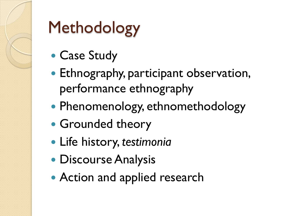

# Methodology

- Case Study
- Ethnography, participant observation, performance ethnography
- Phenomenology, ethnomethodology
- Grounded theory
- Life history, *testimonia*
- **Discourse Analysis**
- **Action and applied research**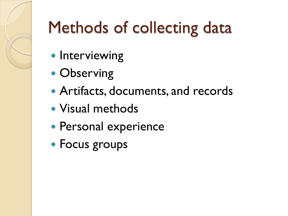# Methods of collecting data

- Interviewing
- Observing
- Artifacts, documents, and records
- Visual methods
- Personal experience
- Focus groups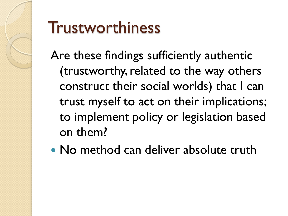

#### Trustworthiness

Are these findings sufficiently authentic (trustworthy, related to the way others construct their social worlds) that I can trust myself to act on their implications; to implement policy or legislation based on them?

• No method can deliver absolute truth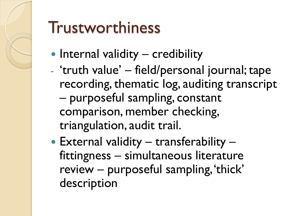

# Trustworthiness

- $\bullet$  Internal validity credibility
- "truth value" field/personal journal; tape recording, thematic log, auditing transcript – purposeful sampling, constant comparison, member checking, triangulation, audit trail.
- External validity transferability fittingness – simultaneous literature review – purposeful sampling, 'thick' description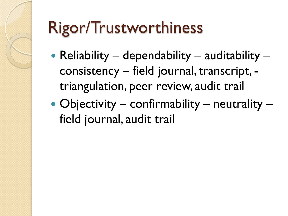# Rigor/Trustworthiness

- Reliability dependability auditability consistency – field journal, transcript, triangulation, peer review, audit trail
- Objectivity confirmability neutrality field journal, audit trail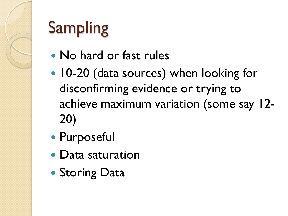# Sampling

- No hard or fast rules
- 10-20 (data sources) when looking for disconfirming evidence or trying to achieve maximum variation (some say 12- 20)
- Purposeful
- Data saturation
- Storing Data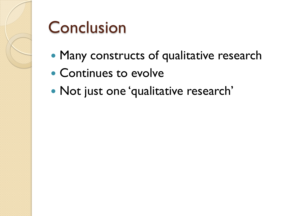

#### Conclusion

- Many constructs of qualitative research
- Continues to evolve
- Not just one 'qualitative research'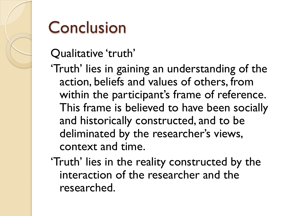

#### Conclusion

#### Qualitative 'truth'

- 'Truth' lies in gaining an understanding of the action, beliefs and values of others, from within the participant's frame of reference. This frame is believed to have been socially and historically constructed, and to be deliminated by the researcher's views, context and time.
- 'Truth' lies in the reality constructed by the interaction of the researcher and the researched.